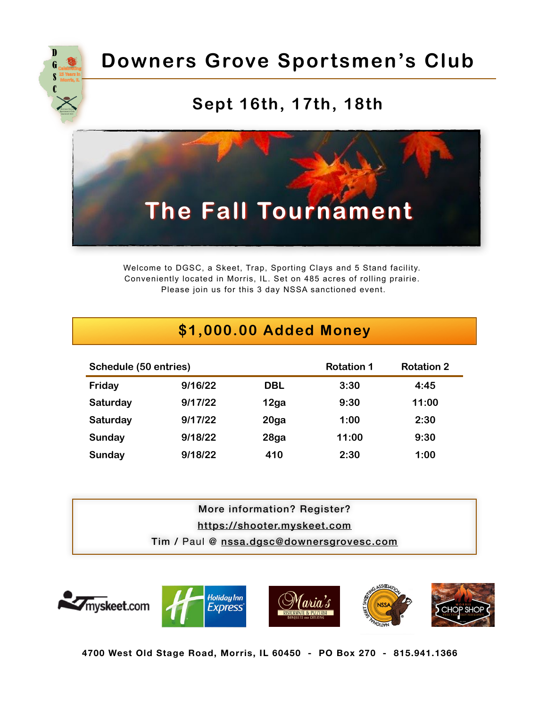

# **Downers Grove Sportsmen's Club**

### **Sept 16th, 17th, 18th**



Welcome to DGSC, a Skeet, Trap, Sporting Clays and 5 Stand facility. Conveniently located in Morris, IL. Set on 485 acres of rolling prairie. Please join us for this 3 day NSSA sanctioned event.

|                       |         | \$1,000.00 Added Money |                   |                   |
|-----------------------|---------|------------------------|-------------------|-------------------|
| Schedule (50 entries) |         |                        | <b>Rotation 1</b> | <b>Rotation 2</b> |
| Friday                | 9/16/22 | <b>DBL</b>             | 3:30              | 4:45              |
| Saturday              | 9/17/22 | 12ga                   | 9:30              | 11:00             |
| Saturday              | 9/17/22 | 20 <sub>g</sub> a      | 1:00              | 2:30              |
| Sunday                | 9/18/22 | 28ga                   | 11:00             | 9:30              |
| Sunday                | 9/18/22 | 410                    | 2:30              | 1:00              |

More information? Register? <https://shooter.myskeet.com> Tim / Paul @ [nssa.dgsc@downersgrovesc.com](mailto:nssa.dgsc@downersgrovesc.com)



**4700 West Old Stage Road, Morris, IL 60450 - PO Box 270 - 815.941.1366**